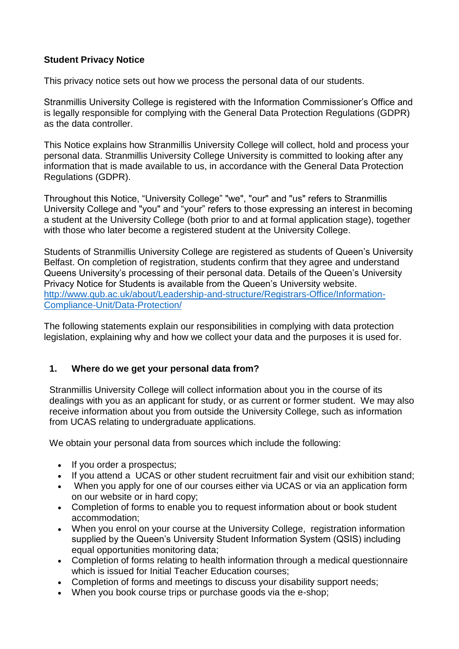## **Student Privacy Notice**

This privacy notice sets out how we process the personal data of our students.

Stranmillis University College is registered with the Information Commissioner's Office and is legally responsible for complying with the General Data Protection Regulations (GDPR) as the data controller.

This Notice explains how Stranmillis University College will collect, hold and process your personal data. Stranmillis University College University is committed to looking after any information that is made available to us, in accordance with the General Data Protection Regulations (GDPR).

Throughout this Notice, "University College" "we", "our" and "us" refers to Stranmillis University College and "you" and "your" refers to those expressing an interest in becoming a student at the University College (both prior to and at formal application stage), together with those who later become a registered student at the University College.

Students of Stranmillis University College are registered as students of Queen's University Belfast. On completion of registration, students confirm that they agree and understand Queens University's processing of their personal data. Details of the Queen's University Privacy Notice for Students is available from the Queen's University website. [http://www.qub.ac.uk/about/Leadership-and-structure/Registrars-Office/Information-](http://www.qub.ac.uk/about/Leadership-and-structure/Registrars-Office/Information-Compliance-Unit/Data-Protection/)[Compliance-Unit/Data-Protection/](http://www.qub.ac.uk/about/Leadership-and-structure/Registrars-Office/Information-Compliance-Unit/Data-Protection/)

The following statements explain our responsibilities in complying with data protection legislation, explaining why and how we collect your data and the purposes it is used for.

## **1. Where do we get your personal data from?**

Stranmillis University College will collect information about you in the course of its dealings with you as an applicant for study, or as current or former student. We may also receive information about you from outside the University College, such as information from UCAS relating to undergraduate applications.

We obtain your personal data from sources which include the following:

- If you order a prospectus;
- If you attend a UCAS or other student recruitment fair and visit our exhibition stand;
- When you apply for one of our courses either via UCAS or via an application form on our website or in hard copy;
- Completion of forms to enable you to request information about or book student accommodation;
- When you enrol on your course at the University College, registration information supplied by the Queen's University Student Information System (QSIS) including equal opportunities monitoring data;
- Completion of forms relating to health information through a medical questionnaire which is issued for Initial Teacher Education courses:
- Completion of forms and meetings to discuss your disability support needs;
- When you book course trips or purchase goods via the e-shop;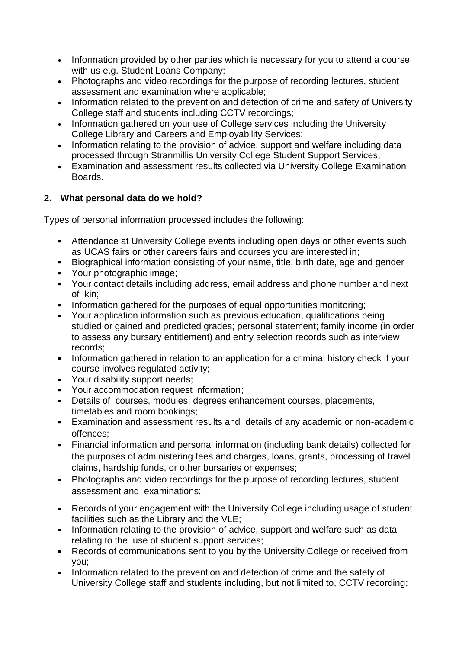- Information provided by other parties which is necessary for you to attend a course with us e.g. Student Loans Company;
- Photographs and video recordings for the purpose of recording lectures, student assessment and examination where applicable;
- Information related to the prevention and detection of crime and safety of University College staff and students including CCTV recordings;
- Information gathered on your use of College services including the University College Library and Careers and Employability Services;
- Information relating to the provision of advice, support and welfare including data processed through Stranmillis University College Student Support Services;
- Examination and assessment results collected via University College Examination Boards.

# **2. What personal data do we hold?**

Types of personal information processed includes the following:

- Attendance at University College events including open days or other events such as UCAS fairs or other careers fairs and courses you are interested in;
- Biographical information consisting of your name, title, birth date, age and gender
- Your photographic image;
- Your contact details including address, email address and phone number and next of kin;
- Information gathered for the purposes of equal opportunities monitoring;
- Your application information such as previous education, qualifications being studied or gained and predicted grades; personal statement; family income (in order to assess any bursary entitlement) and entry selection records such as interview records;
- Information gathered in relation to an application for a criminal history check if your course involves regulated activity;
- Your disability support needs;
- Your accommodation request information;
- Details of courses, modules, degrees enhancement courses, placements, timetables and room bookings;
- Examination and assessment results and details of any academic or non-academic offences;
- Financial information and personal information (including bank details) collected for the purposes of administering fees and charges, loans, grants, processing of travel claims, hardship funds, or other bursaries or expenses;
- Photographs and video recordings for the purpose of recording lectures, student assessment and examinations;
- Records of your engagement with the University College including usage of student facilities such as the Library and the VLE;
- Information relating to the provision of advice, support and welfare such as data relating to the use of student support services;
- Records of communications sent to you by the University College or received from you;
- Information related to the prevention and detection of crime and the safety of University College staff and students including, but not limited to, CCTV recording;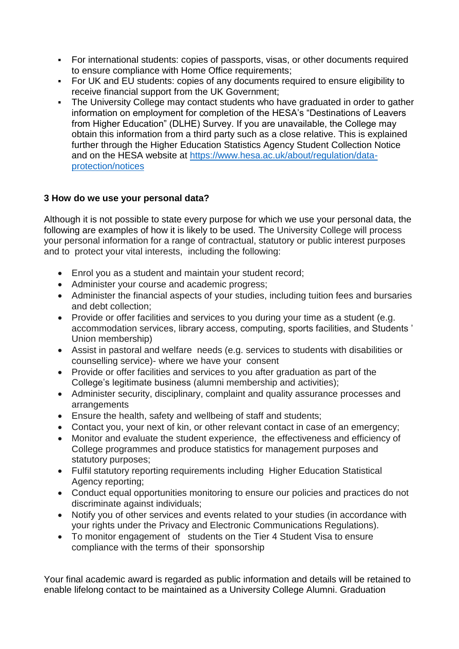- For international students: copies of passports, visas, or other documents required to ensure compliance with Home Office requirements;
- For UK and EU students: copies of any documents required to ensure eligibility to receive financial support from the UK Government;
- The University College may contact students who have graduated in order to gather information on employment for completion of the HESA's "Destinations of Leavers from Higher Education" (DLHE) Survey. If you are unavailable, the College may obtain this information from a third party such as a close relative. This is explained further through the Higher Education Statistics Agency Student Collection Notice and on the HESA website at [https://www.hesa.ac.uk/about/regulation/data](https://www.hesa.ac.uk/about/regulation/data-protection/notices)[protection/notices](https://www.hesa.ac.uk/about/regulation/data-protection/notices)

## **3 How do we use your personal data?**

Although it is not possible to state every purpose for which we use your personal data, the following are examples of how it is likely to be used. The University College will process your personal information for a range of contractual, statutory or public interest purposes and to protect your vital interests, including the following:

- Enrol you as a student and maintain your student record;
- Administer your course and academic progress;
- Administer the financial aspects of your studies, including tuition fees and bursaries and debt collection;
- Provide or offer facilities and services to you during your time as a student (e.g. accommodation services, library access, computing, sports facilities, and Students ' Union membership)
- Assist in pastoral and welfare needs (e.g. services to students with disabilities or counselling service)- where we have your consent
- Provide or offer facilities and services to you after graduation as part of the College's legitimate business (alumni membership and activities);
- Administer security, disciplinary, complaint and quality assurance processes and arrangements
- Ensure the health, safety and wellbeing of staff and students;
- Contact you, your next of kin, or other relevant contact in case of an emergency;
- Monitor and evaluate the student experience, the effectiveness and efficiency of College programmes and produce statistics for management purposes and statutory purposes;
- Fulfil statutory reporting requirements including Higher Education Statistical Agency reporting;
- Conduct equal opportunities monitoring to ensure our policies and practices do not discriminate against individuals;
- Notify you of other services and events related to your studies (in accordance with your rights under the Privacy and Electronic Communications Regulations).
- To monitor engagement of students on the Tier 4 Student Visa to ensure compliance with the terms of their sponsorship

Your final academic award is regarded as public information and details will be retained to enable lifelong contact to be maintained as a University College Alumni. Graduation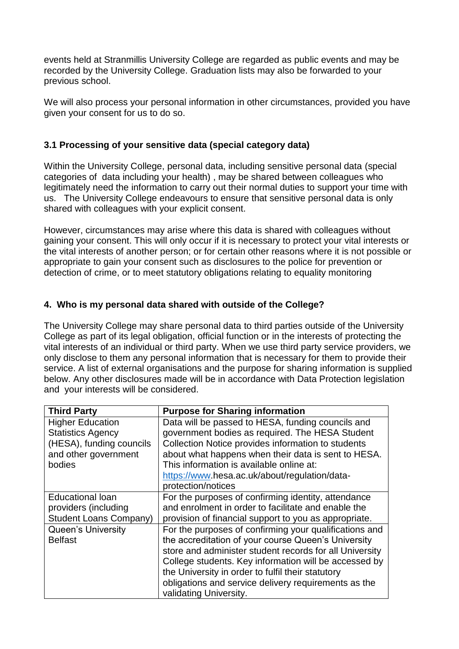events held at Stranmillis University College are regarded as public events and may be recorded by the University College. Graduation lists may also be forwarded to your previous school.

We will also process your personal information in other circumstances, provided you have given your consent for us to do so.

#### **3.1 Processing of your sensitive data (special category data)**

Within the University College, personal data, including sensitive personal data (special categories of data including your health) , may be shared between colleagues who legitimately need the information to carry out their normal duties to support your time with us. The University College endeavours to ensure that sensitive personal data is only shared with colleagues with your explicit consent.

However, circumstances may arise where this data is shared with colleagues without gaining your consent. This will only occur if it is necessary to protect your vital interests or the vital interests of another person; or for certain other reasons where it is not possible or appropriate to gain your consent such as disclosures to the police for prevention or detection of crime, or to meet statutory obligations relating to equality monitoring

## **4. Who is my personal data shared with outside of the College?**

The University College may share personal data to third parties outside of the University College as part of its legal obligation, official function or in the interests of protecting the vital interests of an individual or third party. When we use third party service providers, we only disclose to them any personal information that is necessary for them to provide their service. A list of external organisations and the purpose for sharing information is supplied below. Any other disclosures made will be in accordance with Data Protection legislation and your interests will be considered.

| <b>Third Party</b>            | <b>Purpose for Sharing information</b>                  |
|-------------------------------|---------------------------------------------------------|
| <b>Higher Education</b>       | Data will be passed to HESA, funding councils and       |
| <b>Statistics Agency</b>      | government bodies as required. The HESA Student         |
| (HESA), funding councils      | Collection Notice provides information to students      |
| and other government          | about what happens when their data is sent to HESA.     |
| bodies                        | This information is available online at:                |
|                               | https://www.hesa.ac.uk/about/regulation/data-           |
|                               | protection/notices                                      |
| <b>Educational loan</b>       | For the purposes of confirming identity, attendance     |
| providers (including          | and enrolment in order to facilitate and enable the     |
| <b>Student Loans Company)</b> | provision of financial support to you as appropriate.   |
| <b>Queen's University</b>     | For the purposes of confirming your qualifications and  |
| <b>Belfast</b>                | the accreditation of your course Queen's University     |
|                               | store and administer student records for all University |
|                               | College students. Key information will be accessed by   |
|                               | the University in order to fulfil their statutory       |
|                               | obligations and service delivery requirements as the    |
|                               | validating University.                                  |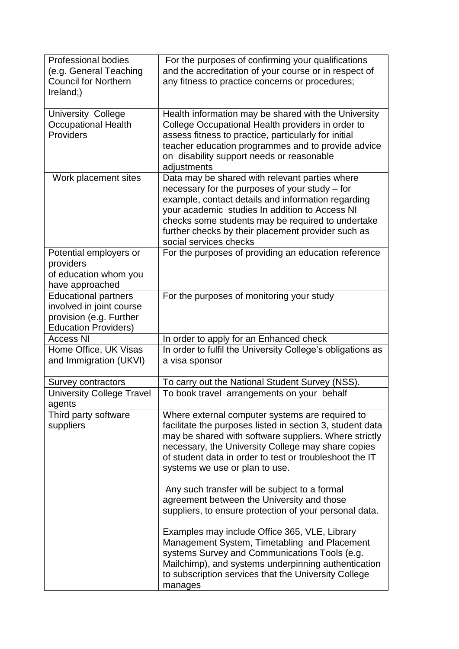| <b>Professional bodies</b><br>(e.g. General Teaching<br><b>Council for Northern</b><br>Ireland;)                  | For the purposes of confirming your qualifications<br>and the accreditation of your course or in respect of<br>any fitness to practice concerns or procedures;                                                                                                                                                                                |
|-------------------------------------------------------------------------------------------------------------------|-----------------------------------------------------------------------------------------------------------------------------------------------------------------------------------------------------------------------------------------------------------------------------------------------------------------------------------------------|
| <b>University College</b><br><b>Occupational Health</b><br>Providers                                              | Health information may be shared with the University<br>College Occupational Health providers in order to<br>assess fitness to practice, particularly for initial<br>teacher education programmes and to provide advice<br>on disability support needs or reasonable<br>adjustments                                                           |
| Work placement sites                                                                                              | Data may be shared with relevant parties where<br>necessary for the purposes of your study – for<br>example, contact details and information regarding<br>your academic studies In addition to Access NI<br>checks some students may be required to undertake<br>further checks by their placement provider such as<br>social services checks |
| Potential employers or<br>providers<br>of education whom you<br>have approached                                   | For the purposes of providing an education reference                                                                                                                                                                                                                                                                                          |
| <b>Educational partners</b><br>involved in joint course<br>provision (e.g. Further<br><b>Education Providers)</b> | For the purposes of monitoring your study                                                                                                                                                                                                                                                                                                     |
| <b>Access NI</b>                                                                                                  | In order to apply for an Enhanced check                                                                                                                                                                                                                                                                                                       |
| Home Office, UK Visas<br>and Immigration (UKVI)                                                                   | In order to fulfil the University College's obligations as<br>a visa sponsor                                                                                                                                                                                                                                                                  |
| Survey contractors                                                                                                | To carry out the National Student Survey (NSS).                                                                                                                                                                                                                                                                                               |
| <b>University College Travel</b><br>agents                                                                        | To book travel arrangements on your behalf                                                                                                                                                                                                                                                                                                    |
| Third party software<br>suppliers                                                                                 | Where external computer systems are required to<br>facilitate the purposes listed in section 3, student data<br>may be shared with software suppliers. Where strictly<br>necessary, the University College may share copies<br>of student data in order to test or troubleshoot the IT<br>systems we use or plan to use.                      |
|                                                                                                                   | Any such transfer will be subject to a formal<br>agreement between the University and those<br>suppliers, to ensure protection of your personal data.                                                                                                                                                                                         |
|                                                                                                                   | Examples may include Office 365, VLE, Library<br>Management System, Timetabling and Placement<br>systems Survey and Communications Tools (e.g.<br>Mailchimp), and systems underpinning authentication<br>to subscription services that the University College<br>manages                                                                      |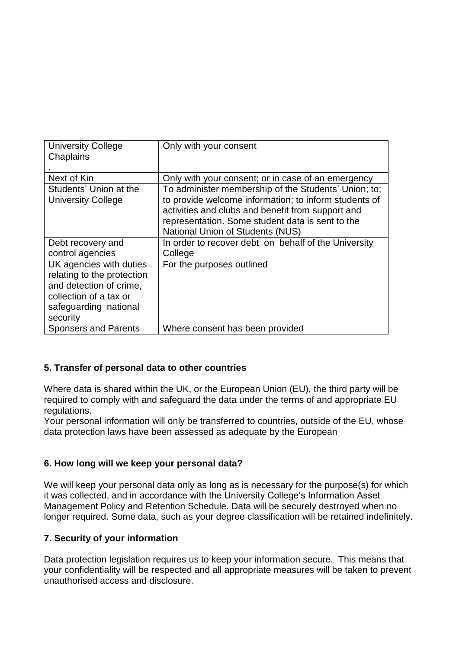| <b>University College</b><br>Chaplains                                                                                                          | Only with your consent                                                                                                                                                                                                                                            |
|-------------------------------------------------------------------------------------------------------------------------------------------------|-------------------------------------------------------------------------------------------------------------------------------------------------------------------------------------------------------------------------------------------------------------------|
|                                                                                                                                                 |                                                                                                                                                                                                                                                                   |
| Next of Kin                                                                                                                                     | Only with your consent; or in case of an emergency                                                                                                                                                                                                                |
| Students' Union at the<br><b>University College</b>                                                                                             | To administer membership of the Students' Union; to;<br>to provide welcome information; to inform students of<br>activities and clubs and benefit from support and<br>representation. Some student data is sent to the<br><b>National Union of Students (NUS)</b> |
| Debt recovery and                                                                                                                               | In order to recover debt on behalf of the University                                                                                                                                                                                                              |
| control agencies                                                                                                                                | College                                                                                                                                                                                                                                                           |
| UK agencies with duties<br>relating to the protection<br>and detection of crime,<br>collection of a tax or<br>safeguarding national<br>security | For the purposes outlined                                                                                                                                                                                                                                         |
| <b>Sponsers and Parents</b>                                                                                                                     | Where consent has been provided                                                                                                                                                                                                                                   |

## **5. Transfer of personal data to other countries**

Where data is shared within the UK, or the European Union (EU), the third party will be required to comply with and safeguard the data under the terms of and appropriate EU regulations.

Your personal information will only be transferred to countries, outside of the EU, whose data protection laws have been assessed as adequate by the European

## **6. How long will we keep your personal data?**

We will keep your personal data only as long as is necessary for the purpose(s) for which it was collected, and in accordance with the University College's Information Asset Management Policy and Retention Schedule. Data will be securely destroyed when no longer required. Some data, such as your degree classification will be retained indefinitely.

## **7. Security of your information**

Data protection legislation requires us to keep your information secure. This means that your confidentiality will be respected and all appropriate measures will be taken to prevent unauthorised access and disclosure.